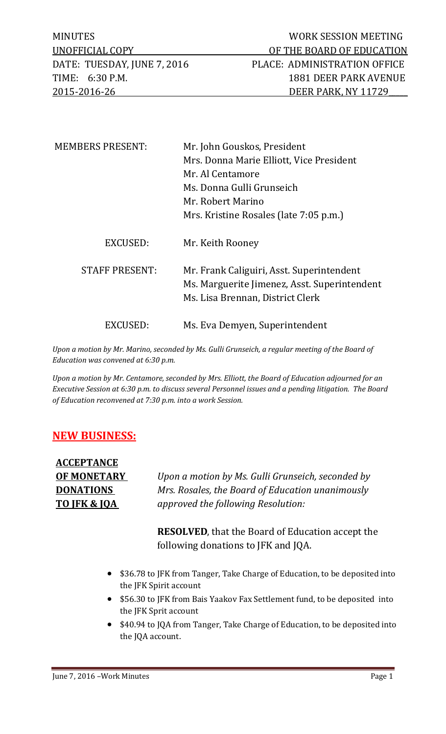| <b>MEMBERS PRESENT:</b> | Mr. John Gouskos, President                                                                                                   |
|-------------------------|-------------------------------------------------------------------------------------------------------------------------------|
|                         | Mrs. Donna Marie Elliott, Vice President                                                                                      |
|                         | Mr. Al Centamore                                                                                                              |
|                         | Ms. Donna Gulli Grunseich                                                                                                     |
|                         | Mr. Robert Marino                                                                                                             |
|                         | Mrs. Kristine Rosales (late 7:05 p.m.)                                                                                        |
| EXCUSED:                | Mr. Keith Rooney                                                                                                              |
| <b>STAFF PRESENT:</b>   | Mr. Frank Caliguiri, Asst. Superintendent<br>Ms. Marguerite Jimenez, Asst. Superintendent<br>Ms. Lisa Brennan, District Clerk |
| EXCUSED:                | Ms. Eva Demyen, Superintendent                                                                                                |

*Upon a motion by Mr. Marino, seconded by Ms. Gulli Grunseich, a regular meeting of the Board of Education was convened at 6:30 p.m.* 

*Upon a motion by Mr. Centamore, seconded by Mrs. Elliott, the Board of Education adjourned for an Executive Session at 6:30 p.m. to discuss several Personnel issues and a pending litigation. The Board of Education reconvened at 7:30 p.m. into a work Session.* 

## **NEW BUSINESS:**

**ACCEPTANCE** 

**OF MONETARY** *Upon a motion by Ms. Gulli Grunseich, seconded by*  **DONATIONS** *Mrs. Rosales, the Board of Education unanimously*  **TO JFK & JQA** *approved the following Resolution:*

> **RESOLVED**, that the Board of Education accept the following donations to JFK and JQA.

- \$36.78 to JFK from Tanger, Take Charge of Education, to be deposited into the JFK Spirit account
- \$56.30 to JFK from Bais Yaakov Fax Settlement fund, to be deposited into the JFK Sprit account
- \$40.94 to JQA from Tanger, Take Charge of Education, to be deposited into the JQA account.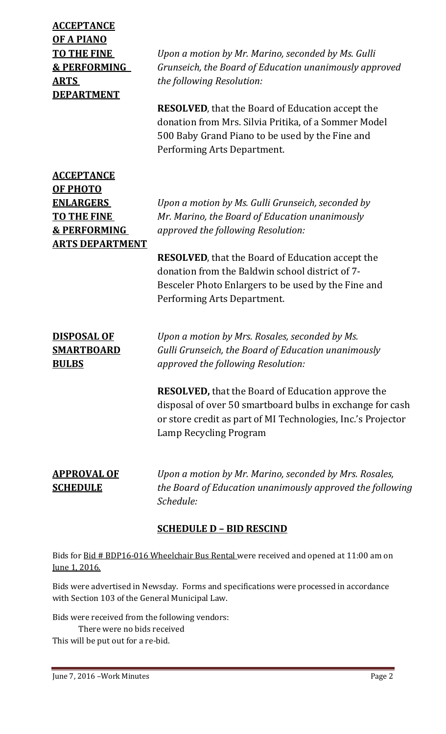**ACCEPTANCE OF A PIANO TO THE FINE** *Upon a motion by Mr. Marino, seconded by Ms. Gulli* **& PERFORMING** *Grunseich, the Board of Education unanimously approved* **ARTS** *the following Resolution:* **DEPARTMENT RESOLVED**, that the Board of Education accept the donation from Mrs. Silvia Pritika, of a Sommer Model 500 Baby Grand Piano to be used by the Fine and Performing Arts Department. **ACCEPTANCE OF PHOTO ENLARGERS** *Upon a motion by Ms. Gulli Grunseich, seconded by*  **TO THE FINE** *Mr. Marino, the Board of Education unanimously*  **& PERFORMING** *approved the following Resolution:* **ARTS DEPARTMENT RESOLVED**, that the Board of Education accept the donation from the Baldwin school district of 7- Besceler Photo Enlargers to be used by the Fine and Performing Arts Department. **DISPOSAL OF** *Upon a motion by Mrs. Rosales, seconded by Ms.*  **SMARTBOARD** *Gulli Grunseich, the Board of Education unanimously* **BULBS** *approved the following Resolution:* **RESOLVED,** that the Board of Education approve the disposal of over 50 smartboard bulbs in exchange for cash or store credit as part of MI Technologies, Inc.'s Projector Lamp Recycling Program **APPROVAL OF** *Upon a motion by Mr. Marino, seconded by Mrs. Rosales,*  **SCHEDULE** *the Board of Education unanimously approved the following Schedule:*

## **SCHEDULE D – BID RESCIND**

Bids for Bid # BDP16-016 Wheelchair Bus Rental were received and opened at 11:00 am on June 1, 2016.

Bids were advertised in Newsday. Forms and specifications were processed in accordance with Section 103 of the General Municipal Law.

Bids were received from the following vendors: There were no bids received This will be put out for a re-bid.